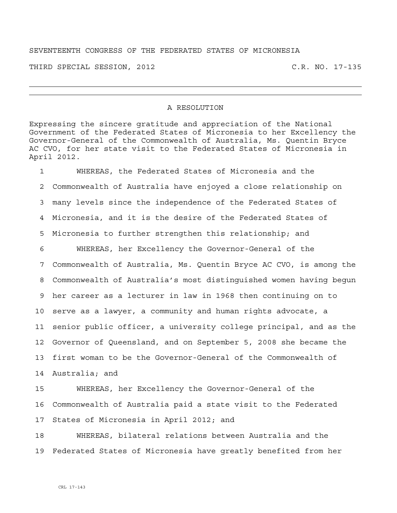## SEVENTEENTH CONGRESS OF THE FEDERATED STATES OF MICRONESIA

THIRD SPECIAL SESSION, 2012 C.R. NO. 17-135

## A RESOLUTION

Expressing the sincere gratitude and appreciation of the National Government of the Federated States of Micronesia to her Excellency the Governor-General of the Commonwealth of Australia, Ms. Quentin Bryce AC CVO, for her state visit to the Federated States of Micronesia in April 2012.

1 WHEREAS, the Federated States of Micronesia and the 2 Commonwealth of Australia have enjoyed a close relationship on 3 many levels since the independence of the Federated States of 4 Micronesia, and it is the desire of the Federated States of 5 Micronesia to further strengthen this relationship; and 6 WHEREAS, her Excellency the Governor-General of the 7 Commonwealth of Australia, Ms. Quentin Bryce AC CVO, is among the 8 Commonwealth of Australia's most distinguished women having begun 9 her career as a lecturer in law in 1968 then continuing on to 10 serve as a lawyer, a community and human rights advocate, a 11 senior public officer, a university college principal, and as the 12 Governor of Queensland, and on September 5, 2008 she became the 13 first woman to be the Governor-General of the Commonwealth of 14 Australia; and

15 WHEREAS, her Excellency the Governor-General of the 16 Commonwealth of Australia paid a state visit to the Federated 17 States of Micronesia in April 2012; and

18 WHEREAS, bilateral relations between Australia and the 19 Federated States of Micronesia have greatly benefited from her